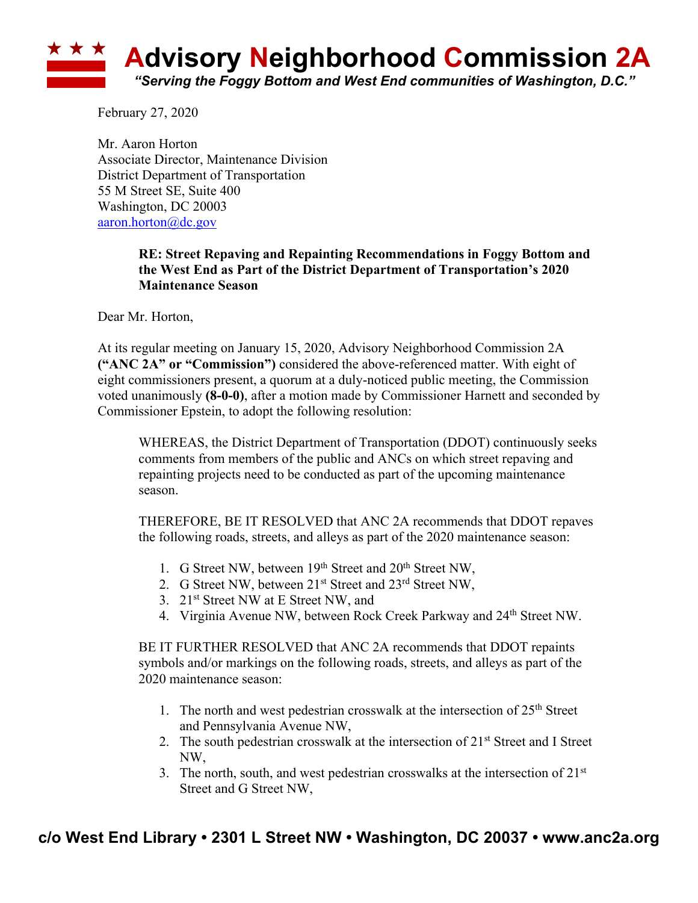

February 27, 2020

Mr. Aaron Horton Associate Director, Maintenance Division District Department of Transportation 55 M Street SE, Suite 400 Washington, DC 20003 aaron.horton@dc.gov

## **RE: Street Repaving and Repainting Recommendations in Foggy Bottom and the West End as Part of the District Department of Transportation's 2020 Maintenance Season**

Dear Mr. Horton,

At its regular meeting on January 15, 2020, Advisory Neighborhood Commission 2A **("ANC 2A" or "Commission")** considered the above-referenced matter. With eight of eight commissioners present, a quorum at a duly-noticed public meeting, the Commission voted unanimously **(8-0-0)**, after a motion made by Commissioner Harnett and seconded by Commissioner Epstein, to adopt the following resolution:

WHEREAS, the District Department of Transportation (DDOT) continuously seeks comments from members of the public and ANCs on which street repaving and repainting projects need to be conducted as part of the upcoming maintenance season.

THEREFORE, BE IT RESOLVED that ANC 2A recommends that DDOT repaves the following roads, streets, and alleys as part of the 2020 maintenance season:

- 1. G Street NW, between 19<sup>th</sup> Street and 20<sup>th</sup> Street NW,
- 2. G Street NW, between 21<sup>st</sup> Street and 23<sup>rd</sup> Street NW,
- 3. 21<sup>st</sup> Street NW at E Street NW, and
- 4. Virginia Avenue NW, between Rock Creek Parkway and 24<sup>th</sup> Street NW.

BE IT FURTHER RESOLVED that ANC 2A recommends that DDOT repaints symbols and/or markings on the following roads, streets, and alleys as part of the 2020 maintenance season:

- 1. The north and west pedestrian crosswalk at the intersection of  $25<sup>th</sup>$  Street and Pennsylvania Avenue NW,
- 2. The south pedestrian crosswalk at the intersection of 21<sup>st</sup> Street and I Street NW,
- 3. The north, south, and west pedestrian crosswalks at the intersection of  $21<sup>st</sup>$ Street and G Street NW,